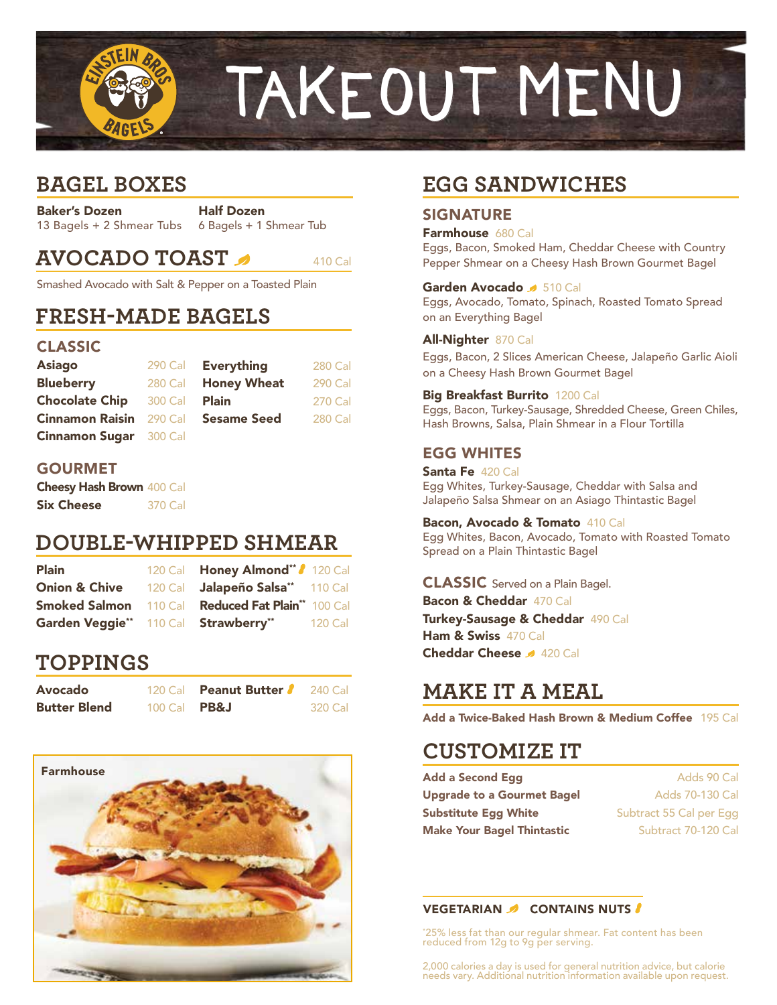

# **BAGEL BOXES**

Baker's Dozen 13 Bagels + 2 Shmear Tubs

Half Dozen 6 Bagels + 1 Shmear Tub

# **AVOCADO TOAST AND A10 Call**

Smashed Avocado with Salt & Pepper on a Toasted Plain

### **FRESH-MADE BAGELS**

### CLASSIC

| <b>Asiago</b>                  |         | 290 Cal Everything | 280 Cal |
|--------------------------------|---------|--------------------|---------|
| <b>Blueberry</b>               | 280 Cal | <b>Honey Wheat</b> | 290 Cal |
| <b>Chocolate Chip</b>          | 300 Cal | <b>Plain</b>       | 270 Cal |
| <b>Cinnamon Raisin</b> 290 Cal |         | <b>Sesame Seed</b> | 280 Cal |
| <b>Cinnamon Sugar</b> 300 Cal  |         |                    |         |

### GOURMET

Cheesy Hash Brown 400 Cal Six Cheese 370 Cal

### **DOUBLE-WHIPPED SHMEAR**

| <b>Plain</b>                         | 120 Cal <b>Honey Almond</b> ** / 120 Cal                                    |
|--------------------------------------|-----------------------------------------------------------------------------|
| <b>Onion &amp; Chive</b>             | 120 Cal Jalapeño Salsa <sup>**</sup> 110 Cal                                |
|                                      | <b>Smoked Salmon</b> 110 Cal <b>Reduced Fat Plain</b> <sup>**</sup> 100 Cal |
| Garden Veggie** 110 Cal Strawberry** | 120 Cal                                                                     |

# **TOPPINGS**

| <b>Avocado</b>      |                       | 120 Cal <b>Peanut Butter</b> | 240 Cal |
|---------------------|-----------------------|------------------------------|---------|
| <b>Butter Blend</b> | 100 Cal $\text{PBEJ}$ |                              | 320 Cal |



# **EGG SANDWICHES**

### SIGNATURE

Farmhouse 680 Cal

Eggs, Bacon, Smoked Ham, Cheddar Cheese with Country Pepper Shmear on a Cheesy Hash Brown Gourmet Bagel

#### Garden Avocado 3 510 Cal

Eggs, Avocado, Tomato, Spinach, Roasted Tomato Spread on an Everything Bagel

#### All-Nighter 870 Cal

Eggs, Bacon, 2 Slices American Cheese, Jalapeño Garlic Aioli on a Cheesy Hash Brown Gourmet Bagel

#### Big Breakfast Burrito 1200 Cal

Eggs, Bacon, Turkey-Sausage, Shredded Cheese, Green Chiles, Hash Browns, Salsa, Plain Shmear in a Flour Tortilla

### EGG WHITES

Santa Fe 420 Cal Egg Whites, Turkey-Sausage, Cheddar with Salsa and Jalapeño Salsa Shmear on an Asiago Thintastic Bagel

Bacon, Avocado & Tomato 410 Cal Egg Whites, Bacon, Avocado, Tomato with Roasted Tomato Spread on a Plain Thintastic Bagel

### CLASSIC Served on a Plain Bagel. Bacon & Cheddar 470 Cal

Turkey-Sausage & Cheddar 490 Cal Ham & Swiss 470 Cal Cheddar Cheese 4 420 Cal

# **MAKE IT A MEAL**

Add a Twice-Baked Hash Brown & Medium Coffee 195 Cal

# **CUSTOMIZE IT**

| Add a Second Egg                  |  |  |
|-----------------------------------|--|--|
| <b>Jpgrade to a Gourmet Bagel</b> |  |  |
| Substitute Egg White              |  |  |
| <b>Make Your Bagel Thintastic</b> |  |  |

Adds 90 Cal Adds 70-130 Cal Subtract 55 Cal per Egg Subtract 70-120 Cal

#### VEGETARIAN CONTAINS NUTS

\* 25% less fat than our regular shmear. Fat content has been reduced from 12g to 9g per serving.

2,000 calories a day is used for general nutrition advice, but calorie needs vary. Additional nutrition information available upon request.